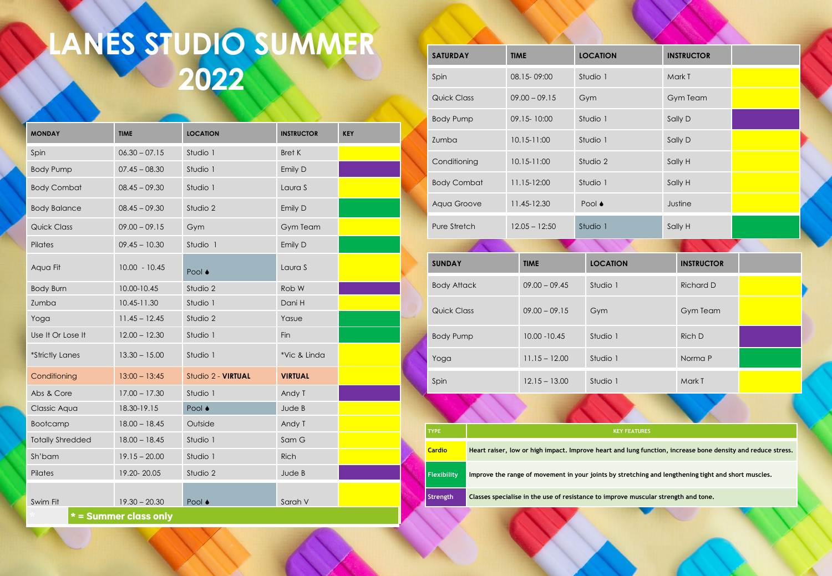## **LANES STUDIO SUMMER 2022**

| <b>MONDAY</b>           | <b>TIME</b>           | <b>LOCATION</b>    | <b>INSTRUCTOR</b> | <b>KEY</b> |
|-------------------------|-----------------------|--------------------|-------------------|------------|
| Spin                    | $06.30 - 07.15$       | Studio 1           | <b>Bret K</b>     |            |
| <b>Body Pump</b>        | $07.45 - 08.30$       | Studio 1           | Emily D           |            |
| <b>Body Combat</b>      | $08.45 - 09.30$       | Studio 1           | Laura S           |            |
| <b>Body Balance</b>     | $08.45 - 09.30$       | Studio 2           | Emily D           |            |
| <b>Quick Class</b>      | $09.00 - 09.15$       | Gym                | <b>Gym Team</b>   |            |
| Pilates                 | $09.45 - 10.30$       | Studio 1           | Emily D           |            |
| Aqua Fit                | $10.00 - 10.45$       | Pool ♦             | Laura S           |            |
| <b>Body Burn</b>        | 10.00-10.45           | Studio 2           | Rob W             |            |
| Zumba                   | 10.45-11.30           | Studio 1           | Dani H            |            |
| Yoga                    | $11.45 - 12.45$       | Studio 2           | Yasue             |            |
| Use It Or Lose It       | $12.00 - 12.30$       | Studio 1           | Fin               |            |
| *Strictly Lanes         | $13.30 - 15.00$       | Studio 1           | *Vic & Linda      |            |
| Conditioning            | $13:00 - 13:45$       | Studio 2 - VIRTUAL | <b>VIRTUAL</b>    |            |
| Abs & Core              | $17.00 - 17.30$       | Studio 1           | Andy T            |            |
| Classic Aqua            | 18.30-19.15           | Pool ♦             | Jude B            |            |
| <b>Bootcamp</b>         | $18.00 - 18.45$       | Outside            | Andy T            |            |
| <b>Totally Shredded</b> | $18.00 - 18.45$       | Studio 1           | Sam G             |            |
| Sh'bam                  | $19.15 - 20.00$       | Studio 1           | <b>Rich</b>       |            |
| Pilates                 | 19.20-20.05           | Studio 2           | Jude B            |            |
| Swim Fit                | $19.30 - 20.30$       | Pool ●             | Sarah V           |            |
|                         | * = Summer class only |                    |                   |            |

| <b>SATURDAY</b>    | <b>TIME</b>     | <b>LOCATION</b>                                                                    | <b>INSTRUCTOR</b>                                                                                           |  |
|--------------------|-----------------|------------------------------------------------------------------------------------|-------------------------------------------------------------------------------------------------------------|--|
| Spin               | 08.15-09:00     | Studio 1                                                                           | Mark T                                                                                                      |  |
| Quick Class        | $09.00 - 09.15$ | Gym                                                                                | <b>Gym Team</b>                                                                                             |  |
| <b>Body Pump</b>   | 09.15-10:00     | Studio 1                                                                           | Sally D                                                                                                     |  |
| Zumba              | 10.15-11:00     | Studio 1                                                                           | Sally D                                                                                                     |  |
| Conditioning       | 10.15-11:00     | Studio 2                                                                           | Sally H                                                                                                     |  |
| <b>Body Combat</b> | 11.15-12:00     | Studio 1                                                                           | Sally H                                                                                                     |  |
| Aqua Groove        | 11.45-12.30     | Pool ♦                                                                             | Justine                                                                                                     |  |
| Pure Stretch       | $12.05 - 12:50$ | Studio 1                                                                           | Sally H                                                                                                     |  |
|                    |                 |                                                                                    |                                                                                                             |  |
| <b>SUNDAY</b>      | <b>TIME</b>     | <b>LOCATION</b>                                                                    | <b>INSTRUCTOR</b>                                                                                           |  |
| <b>Body Attack</b> | $09.00 - 09.45$ | Studio 1                                                                           | <b>Richard D</b>                                                                                            |  |
| Quick Class        | $09.00 - 09.15$ | Gym                                                                                | <b>Gym Team</b>                                                                                             |  |
| <b>Body Pump</b>   | $10.00 - 10.45$ | Studio 1                                                                           | Rich D                                                                                                      |  |
| Yoga               | $11.15 - 12.00$ | Studio 1                                                                           | Norma P                                                                                                     |  |
| Spin               | $12.15 - 13.00$ | Studio 1                                                                           | Mark T                                                                                                      |  |
|                    |                 |                                                                                    |                                                                                                             |  |
| <b>TYPE</b>        |                 | <b>KEY FEATURES</b>                                                                |                                                                                                             |  |
| <b>Cardio</b>      |                 |                                                                                    | Heart raiser, low or high impact. Improve heart and lung function, increase bone density and reduce stress. |  |
| <b>Flexibility</b> |                 |                                                                                    | Improve the range of movement in your joints by stretching and lengthening tight and short muscles.         |  |
| Strength           |                 | Classes specialise in the use of resistance to improve muscular strength and tone. |                                                                                                             |  |